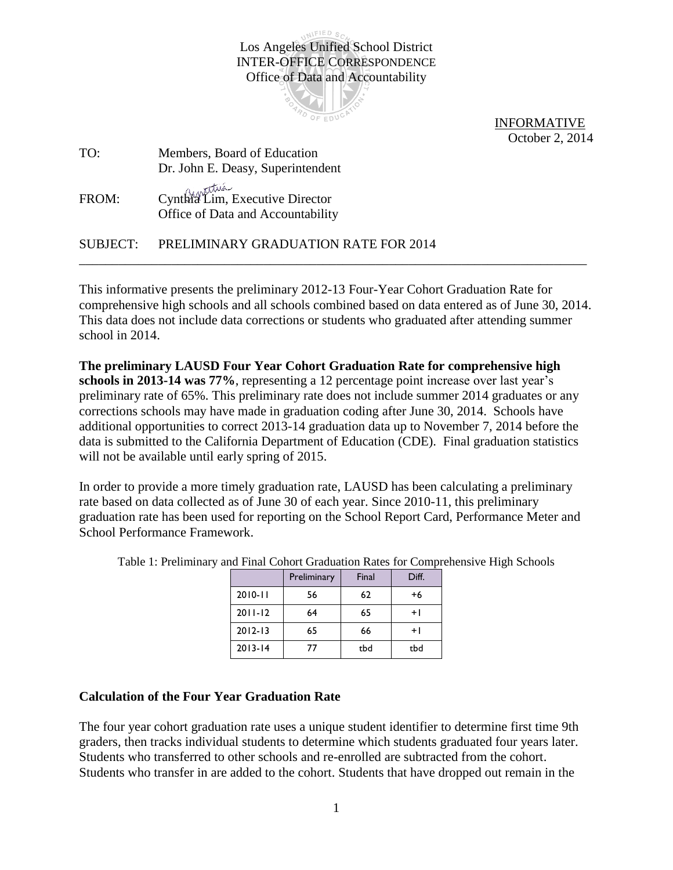UNIFIED SC Los Angeles Unified School District INTER-OFFICE CORRESPONDENCE Office of Data and Accountability



 INFORMATIVE October 2, 2014

| TO:   | Members, Board of Education                                          |
|-------|----------------------------------------------------------------------|
|       | Dr. John E. Deasy, Superintendent                                    |
| FROM: | Cynthia Lim, Executive Director<br>Office of Data and Accountability |
|       | SUBJECT: PRELIMINARY GRADUATION RATE FOR 2014                        |

This informative presents the preliminary 2012-13 Four-Year Cohort Graduation Rate for comprehensive high schools and all schools combined based on data entered as of June 30, 2014. This data does not include data corrections or students who graduated after attending summer school in 2014.

**The preliminary LAUSD Four Year Cohort Graduation Rate for comprehensive high schools in 2013-14 was 77%**, representing a 12 percentage point increase over last year's preliminary rate of 65%. This preliminary rate does not include summer 2014 graduates or any corrections schools may have made in graduation coding after June 30, 2014. Schools have additional opportunities to correct 2013-14 graduation data up to November 7, 2014 before the data is submitted to the California Department of Education (CDE). Final graduation statistics will not be available until early spring of 2015.

In order to provide a more timely graduation rate, LAUSD has been calculating a preliminary rate based on data collected as of June 30 of each year. Since 2010-11, this preliminary graduation rate has been used for reporting on the School Report Card, Performance Meter and School Performance Framework.

|             | Preliminary | Final | Diff. |  |
|-------------|-------------|-------|-------|--|
| $2010 - 11$ | 56          | 62    | $+6$  |  |
| $2011 - 12$ | 64          | 65    | + l   |  |
| $2012 - 13$ | 65          | 66    | $+1$  |  |
| $2013 - 14$ | 77          | tbd   | tbd   |  |

Table 1: Preliminary and Final Cohort Graduation Rates for Comprehensive High Schools

## **Calculation of the Four Year Graduation Rate**

The four year cohort graduation rate uses a unique student identifier to determine first time 9th graders, then tracks individual students to determine which students graduated four years later. Students who transferred to other schools and re-enrolled are subtracted from the cohort. Students who transfer in are added to the cohort. Students that have dropped out remain in the